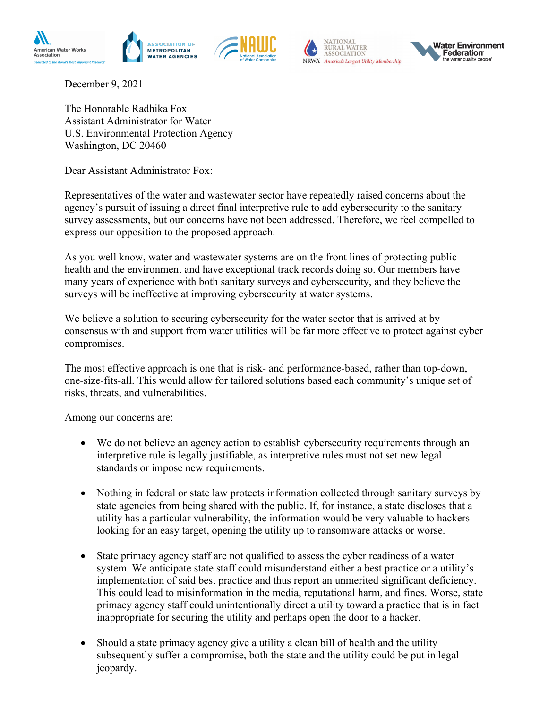





December 9, 2021

The Honorable Radhika Fox Assistant Administrator for Water U.S. Environmental Protection Agency Washington, DC 20460

Dear Assistant Administrator Fox:

Representatives of the water and wastewater sector have repeatedly raised concerns about the agency's pursuit of issuing a direct final interpretive rule to add cybersecurity to the sanitary survey assessments, but our concerns have not been addressed. Therefore, we feel compelled to express our opposition to the proposed approach.

As you well know, water and wastewater systems are on the front lines of protecting public health and the environment and have exceptional track records doing so. Our members have many years of experience with both sanitary surveys and cybersecurity, and they believe the surveys will be ineffective at improving cybersecurity at water systems.

We believe a solution to securing cybersecurity for the water sector that is arrived at by consensus with and support from water utilities will be far more effective to protect against cyber compromises.

The most effective approach is one that is risk- and performance-based, rather than top-down, one-size-fits-all. This would allow for tailored solutions based each community's unique set of risks, threats, and vulnerabilities.

Among our concerns are:

- We do not believe an agency action to establish cybersecurity requirements through an interpretive rule is legally justifiable, as interpretive rules must not set new legal standards or impose new requirements.
- Nothing in federal or state law protects information collected through sanitary surveys by state agencies from being shared with the public. If, for instance, a state discloses that a utility has a particular vulnerability, the information would be very valuable to hackers looking for an easy target, opening the utility up to ransomware attacks or worse.
- State primacy agency staff are not qualified to assess the cyber readiness of a water system. We anticipate state staff could misunderstand either a best practice or a utility's implementation of said best practice and thus report an unmerited significant deficiency. This could lead to misinformation in the media, reputational harm, and fines. Worse, state primacy agency staff could unintentionally direct a utility toward a practice that is in fact inappropriate for securing the utility and perhaps open the door to a hacker.
- Should a state primacy agency give a utility a clean bill of health and the utility subsequently suffer a compromise, both the state and the utility could be put in legal jeopardy.